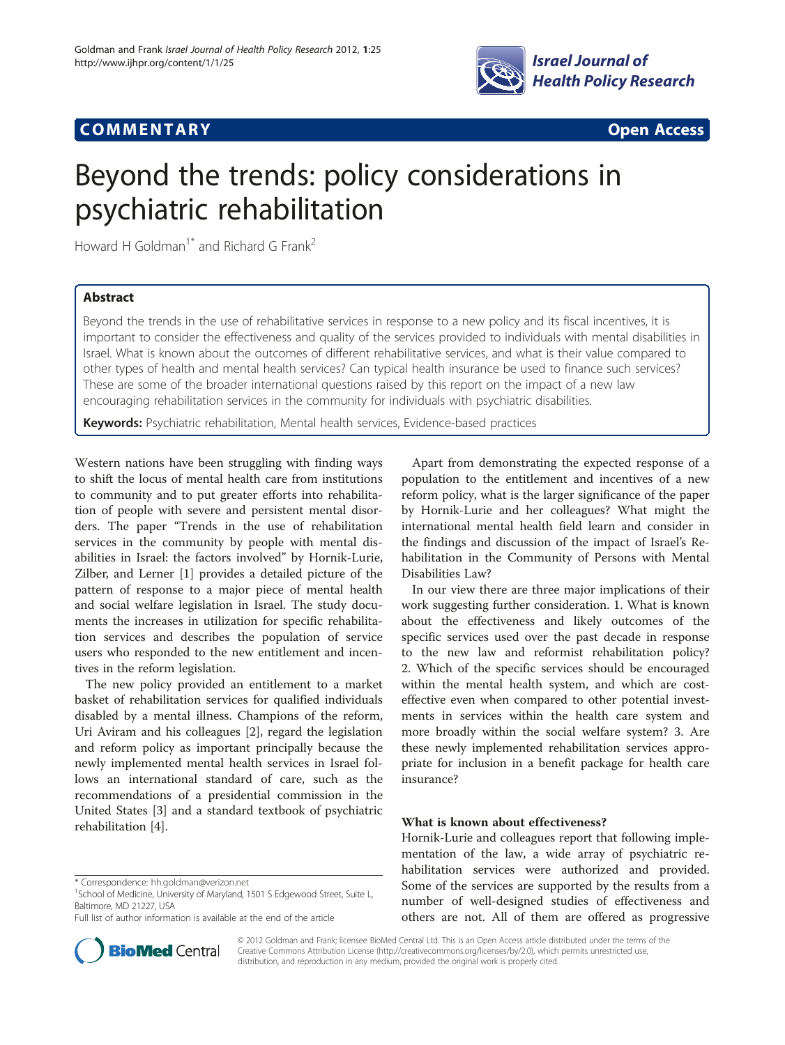

## **COMMENTARY COMMENTARY Open Access**



# Beyond the trends: policy considerations in psychiatric rehabilitation

Howard H Goldman<sup>1\*</sup> and Richard G Frank<sup>2</sup>

## Abstract

Beyond the trends in the use of rehabilitative services in response to a new policy and its fiscal incentives, it is important to consider the effectiveness and quality of the services provided to individuals with mental disabilities in Israel. What is known about the outcomes of different rehabilitative services, and what is their value compared to other types of health and mental health services? Can typical health insurance be used to finance such services? These are some of the broader international questions raised by this report on the impact of a new law encouraging rehabilitation services in the community for individuals with psychiatric disabilities.

Keywords: Psychiatric rehabilitation, Mental health services, Evidence-based practices

Western nations have been struggling with finding ways to shift the locus of mental health care from institutions to community and to put greater efforts into rehabilitation of people with severe and persistent mental disorders. The paper "Trends in the use of rehabilitation services in the community by people with mental disabilities in Israel: the factors involved" by Hornik-Lurie, Zilber, and Lerner [\[1](#page-1-0)] provides a detailed picture of the pattern of response to a major piece of mental health and social welfare legislation in Israel. The study documents the increases in utilization for specific rehabilitation services and describes the population of service users who responded to the new entitlement and incentives in the reform legislation.

The new policy provided an entitlement to a market basket of rehabilitation services for qualified individuals disabled by a mental illness. Champions of the reform, Uri Aviram and his colleagues [\[2](#page-2-0)], regard the legislation and reform policy as important principally because the newly implemented mental health services in Israel follows an international standard of care, such as the recommendations of a presidential commission in the United States [[3\]](#page-2-0) and a standard textbook of psychiatric rehabilitation [\[4](#page-2-0)].



In our view there are three major implications of their work suggesting further consideration. 1. What is known about the effectiveness and likely outcomes of the specific services used over the past decade in response to the new law and reformist rehabilitation policy? 2. Which of the specific services should be encouraged within the mental health system, and which are costeffective even when compared to other potential investments in services within the health care system and more broadly within the social welfare system? 3. Are these newly implemented rehabilitation services appropriate for inclusion in a benefit package for health care insurance?

## What is known about effectiveness?

Hornik-Lurie and colleagues report that following implementation of the law, a wide array of psychiatric rehabilitation services were authorized and provided. Some of the services are supported by the results from a number of well-designed studies of effectiveness and others are not. All of them are offered as progressive



© 2012 Goldman and Frank; licensee BioMed Central Ltd. This is an Open Access article distributed under the terms of the Creative Commons Attribution License (<http://creativecommons.org/licenses/by/2.0>), which permits unrestricted use, distribution, and reproduction in any medium, provided the original work is properly cited.

<sup>\*</sup> Correspondence: [hh.goldman@verizon.net](mailto:hh.goldman@verizon.net) <sup>1</sup>

<sup>&</sup>lt;sup>1</sup>School of Medicine, University of Maryland, 1501 S Edgewood Street, Suite L, Baltimore, MD 21227, USA

Full list of author information is available at the end of the article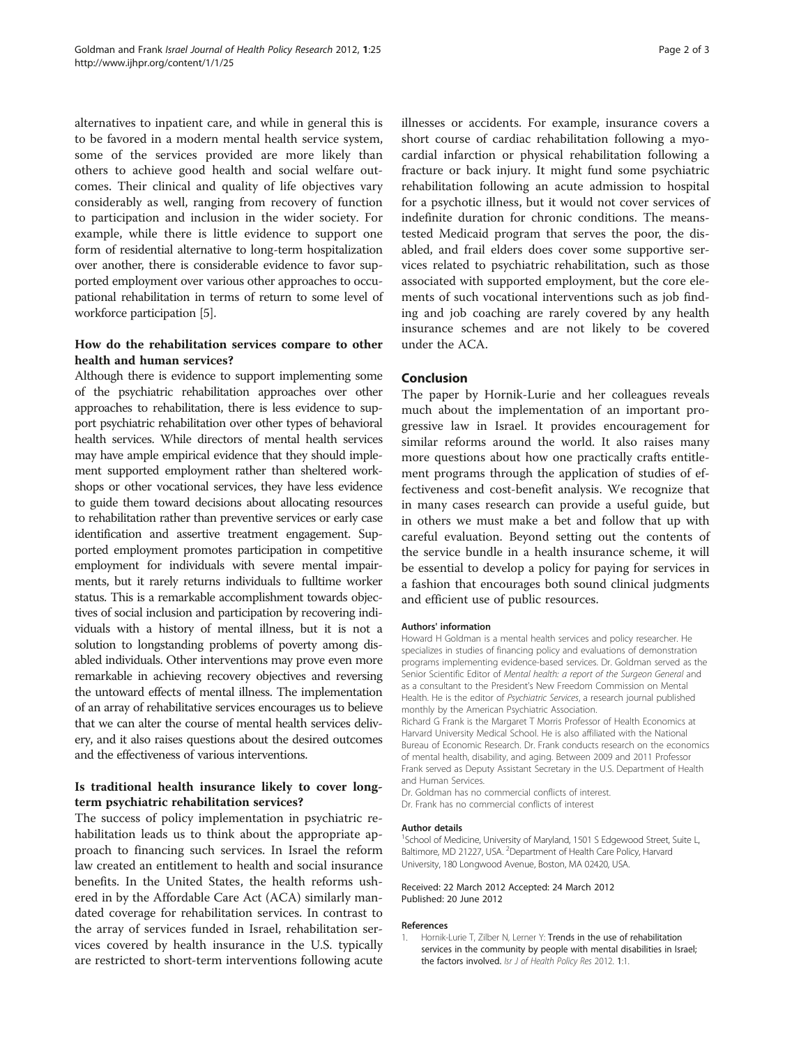<span id="page-1-0"></span>alternatives to inpatient care, and while in general this is to be favored in a modern mental health service system, some of the services provided are more likely than others to achieve good health and social welfare outcomes. Their clinical and quality of life objectives vary considerably as well, ranging from recovery of function to participation and inclusion in the wider society. For example, while there is little evidence to support one form of residential alternative to long-term hospitalization over another, there is considerable evidence to favor supported employment over various other approaches to occupational rehabilitation in terms of return to some level of workforce participation [\[5](#page-2-0)].

## How do the rehabilitation services compare to other health and human services?

Although there is evidence to support implementing some of the psychiatric rehabilitation approaches over other approaches to rehabilitation, there is less evidence to support psychiatric rehabilitation over other types of behavioral health services. While directors of mental health services may have ample empirical evidence that they should implement supported employment rather than sheltered workshops or other vocational services, they have less evidence to guide them toward decisions about allocating resources to rehabilitation rather than preventive services or early case identification and assertive treatment engagement. Supported employment promotes participation in competitive employment for individuals with severe mental impairments, but it rarely returns individuals to fulltime worker status. This is a remarkable accomplishment towards objectives of social inclusion and participation by recovering individuals with a history of mental illness, but it is not a solution to longstanding problems of poverty among disabled individuals. Other interventions may prove even more remarkable in achieving recovery objectives and reversing the untoward effects of mental illness. The implementation of an array of rehabilitative services encourages us to believe that we can alter the course of mental health services delivery, and it also raises questions about the desired outcomes and the effectiveness of various interventions.

## Is traditional health insurance likely to cover longterm psychiatric rehabilitation services?

The success of policy implementation in psychiatric rehabilitation leads us to think about the appropriate approach to financing such services. In Israel the reform law created an entitlement to health and social insurance benefits. In the United States, the health reforms ushered in by the Affordable Care Act (ACA) similarly mandated coverage for rehabilitation services. In contrast to the array of services funded in Israel, rehabilitation services covered by health insurance in the U.S. typically are restricted to short-term interventions following acute illnesses or accidents. For example, insurance covers a short course of cardiac rehabilitation following a myocardial infarction or physical rehabilitation following a fracture or back injury. It might fund some psychiatric rehabilitation following an acute admission to hospital for a psychotic illness, but it would not cover services of indefinite duration for chronic conditions. The meanstested Medicaid program that serves the poor, the disabled, and frail elders does cover some supportive services related to psychiatric rehabilitation, such as those associated with supported employment, but the core elements of such vocational interventions such as job finding and job coaching are rarely covered by any health insurance schemes and are not likely to be covered under the ACA.

## Conclusion

The paper by Hornik-Lurie and her colleagues reveals much about the implementation of an important progressive law in Israel. It provides encouragement for similar reforms around the world. It also raises many more questions about how one practically crafts entitlement programs through the application of studies of effectiveness and cost-benefit analysis. We recognize that in many cases research can provide a useful guide, but in others we must make a bet and follow that up with careful evaluation. Beyond setting out the contents of the service bundle in a health insurance scheme, it will be essential to develop a policy for paying for services in a fashion that encourages both sound clinical judgments and efficient use of public resources.

#### Authors' information

Howard H Goldman is a mental health services and policy researcher. He specializes in studies of financing policy and evaluations of demonstration programs implementing evidence-based services. Dr. Goldman served as the Senior Scientific Editor of Mental health: a report of the Surgeon General and as a consultant to the President's New Freedom Commission on Mental Health. He is the editor of Psychiatric Services, a research journal published monthly by the American Psychiatric Association.

Richard G Frank is the Margaret T Morris Professor of Health Economics at Harvard University Medical School. He is also affiliated with the National Bureau of Economic Research. Dr. Frank conducts research on the economics of mental health, disability, and aging. Between 2009 and 2011 Professor Frank served as Deputy Assistant Secretary in the U.S. Department of Health and Human Services.

Dr. Goldman has no commercial conflicts of interest.

Dr. Frank has no commercial conflicts of interest

#### Author details

<sup>1</sup>School of Medicine, University of Maryland, 1501 S Edgewood Street, Suite L Baltimore, MD 21227, USA. <sup>2</sup>Department of Health Care Policy, Harvard University, 180 Longwood Avenue, Boston, MA 02420, USA.

#### Received: 22 March 2012 Accepted: 24 March 2012 Published: 20 June 2012

#### References

1. Hornik-Lurie T, Zilber N, Lerner Y: Trends in the use of rehabilitation services in the community by people with mental disabilities in Israel; the factors involved. Isr J of Health Policy Res 2012. 1:1.